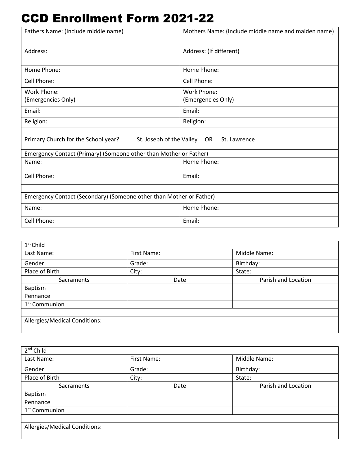## CCD Enrollment Form 2021-22

| Fathers Name: (Include middle name)                                 | Mothers Name: (Include middle name and maiden name) |
|---------------------------------------------------------------------|-----------------------------------------------------|
| Address:                                                            | Address: (If different)                             |
| Home Phone:                                                         | Home Phone:                                         |
| Cell Phone:                                                         | Cell Phone:                                         |
| Work Phone:                                                         | <b>Work Phone:</b>                                  |
| (Emergencies Only)                                                  | (Emergencies Only)                                  |
| Email:                                                              | Email:                                              |
| Religion:                                                           | Religion:                                           |
| Primary Church for the School year?                                 | St. Joseph of the Valley OR St. Lawrence            |
| Emergency Contact (Primary) (Someone other than Mother or Father)   |                                                     |
| Name:                                                               | Home Phone:                                         |
| Cell Phone:                                                         | Email:                                              |
|                                                                     |                                                     |
| Emergency Contact (Secondary) (Someone other than Mother or Father) |                                                     |
| Name:                                                               | Home Phone:                                         |
| Cell Phone:                                                         | Email:                                              |

| $1st$ Child                   |             |                     |
|-------------------------------|-------------|---------------------|
| Last Name:                    | First Name: | Middle Name:        |
| Gender:                       | Grade:      | Birthday:           |
| Place of Birth                | City:       | State:              |
| Sacraments                    | Date        | Parish and Location |
| Baptism                       |             |                     |
| Pennance                      |             |                     |
| 1 <sup>st</sup> Communion     |             |                     |
|                               |             |                     |
| Allergies/Medical Conditions: |             |                     |
|                               |             |                     |

| $2nd$ Child                   |             |                     |
|-------------------------------|-------------|---------------------|
| Last Name:                    | First Name: | Middle Name:        |
| Gender:                       | Grade:      | Birthday:           |
| Place of Birth                | City:       | State:              |
| <b>Sacraments</b>             | Date        | Parish and Location |
| Baptism                       |             |                     |
| Pennance                      |             |                     |
| 1 <sup>st</sup> Communion     |             |                     |
|                               |             |                     |
| Allergies/Medical Conditions: |             |                     |
|                               |             |                     |